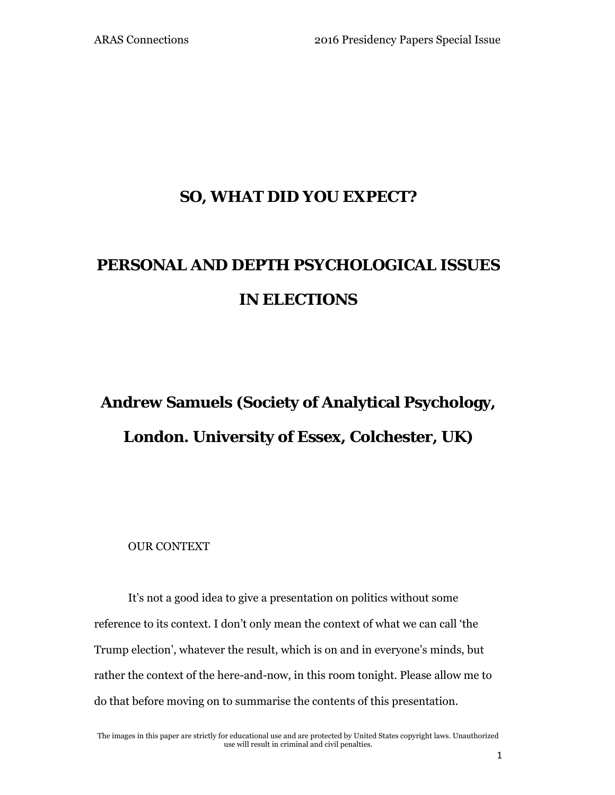## **SO, WHAT DID YOU EXPECT?**

## **PERSONAL AND DEPTH PSYCHOLOGICAL ISSUES IN ELECTIONS**

# **Andrew Samuels (Society of Analytical Psychology, London. University of Essex, Colchester, UK)**

OUR CONTEXT

It's not a good idea to give a presentation on politics without some reference to its context. I don't only mean the context of what we can call 'the Trump election', whatever the result, which is on and in everyone's minds, but rather the context of the here-and-now, in this room tonight. Please allow me to do that before moving on to summarise the contents of this presentation.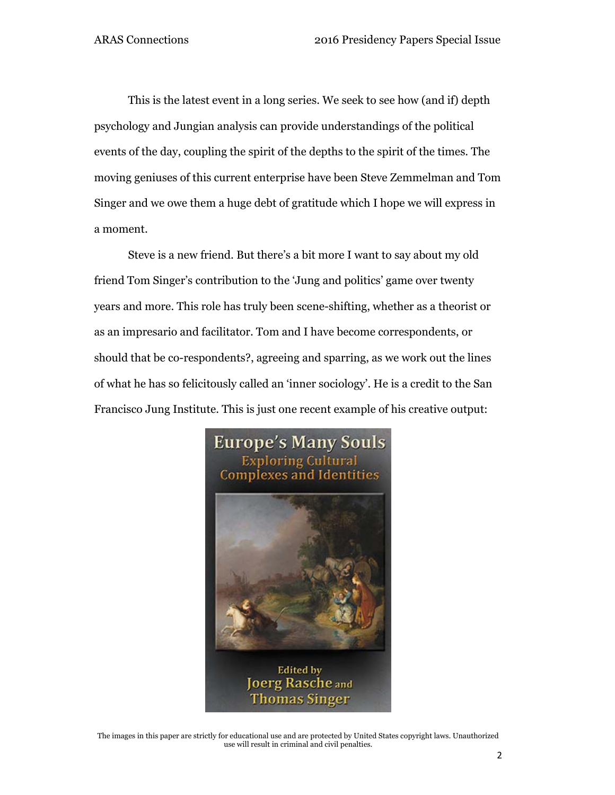This is the latest event in a long series. We seek to see how (and if) depth psychology and Jungian analysis can provide understandings of the political events of the day, coupling the spirit of the depths to the spirit of the times. The moving geniuses of this current enterprise have been Steve Zemmelman and Tom Singer and we owe them a huge debt of gratitude which I hope we will express in a moment.

Steve is a new friend. But there's a bit more I want to say about my old friend Tom Singer's contribution to the 'Jung and politics' game over twenty years and more. This role has truly been scene-shifting, whether as a theorist or as an impresario and facilitator. Tom and I have become correspondents, or should that be co-respondents?, agreeing and sparring, as we work out the lines of what he has so felicitously called an 'inner sociology'. He is a credit to the San Francisco Jung Institute. This is just one recent example of his creative output:



The images in this paper are strictly for educational use and are protected by United States copyright laws. Unauthorized use will result in criminal and civil penalties.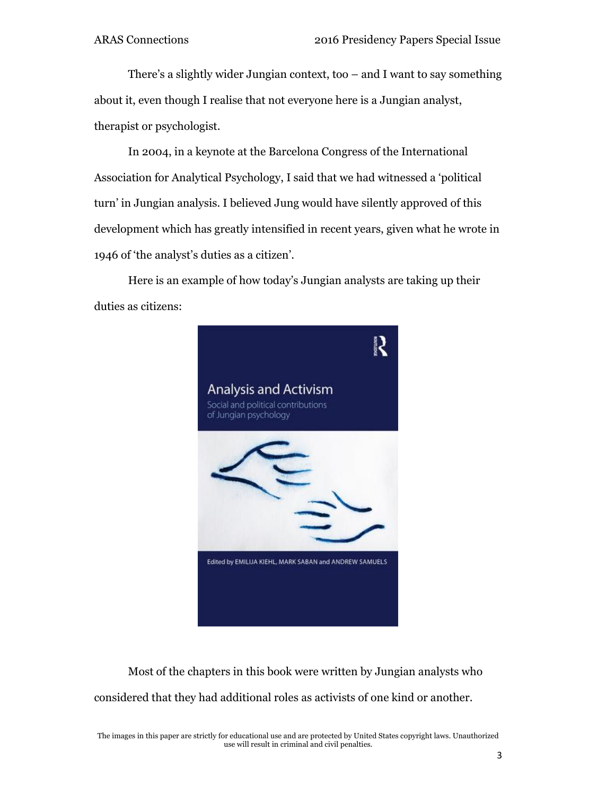There's a slightly wider Jungian context, too – and I want to say something about it, even though I realise that not everyone here is a Jungian analyst, therapist or psychologist.

In 2004, in a keynote at the Barcelona Congress of the International Association for Analytical Psychology, I said that we had witnessed a 'political turn' in Jungian analysis. I believed Jung would have silently approved of this development which has greatly intensified in recent years, given what he wrote in 1946 of 'the analyst's duties as a citizen'.

Here is an example of how today's Jungian analysts are taking up their duties as citizens:



Most of the chapters in this book were written by Jungian analysts who considered that they had additional roles as activists of one kind or another.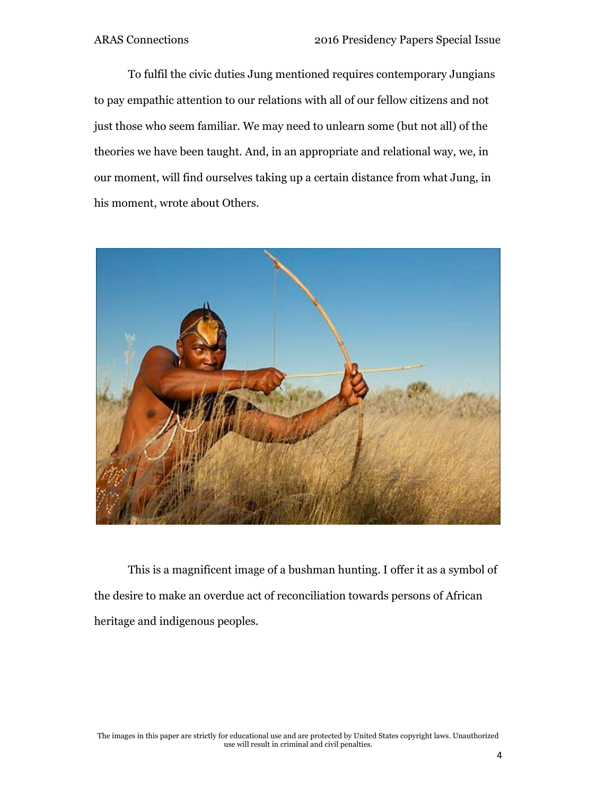To fulfil the civic duties Jung mentioned requires contemporary Jungians to pay empathic attention to our relations with all of our fellow citizens and not just those who seem familiar. We may need to unlearn some (but not all) of the theories we have been taught. And, in an appropriate and relational way, we, in our moment, will find ourselves taking up a certain distance from what Jung, in his moment, wrote about Others.



This is a magnificent image of a bushman hunting. I offer it as a symbol of the desire to make an overdue act of reconciliation towards persons of African heritage and indigenous peoples.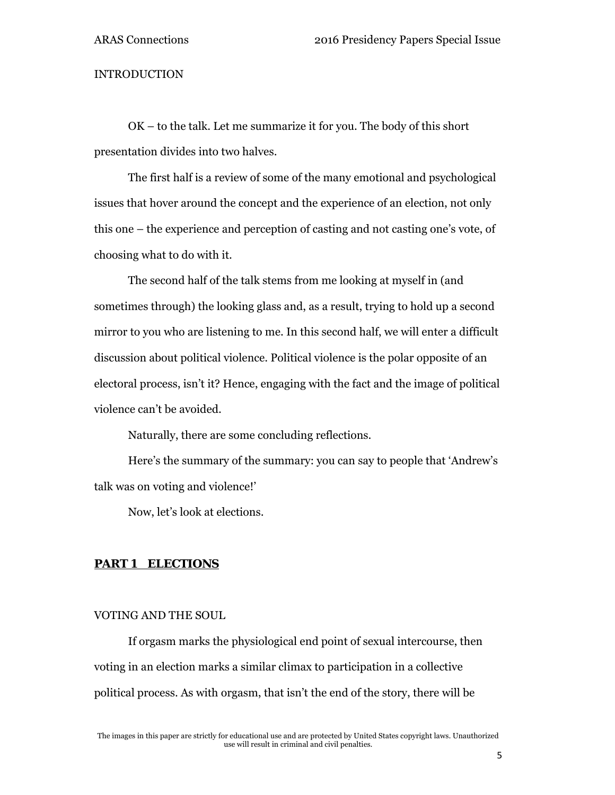#### INTRODUCTION

OK – to the talk. Let me summarize it for you. The body of this short presentation divides into two halves.

The first half is a review of some of the many emotional and psychological issues that hover around the concept and the experience of an election, not only this one – the experience and perception of casting and not casting one's vote, of choosing what to do with it.

The second half of the talk stems from me looking at myself in (and sometimes through) the looking glass and, as a result, trying to hold up a second mirror to you who are listening to me. In this second half, we will enter a difficult discussion about political violence. Political violence is the polar opposite of an electoral process, isn't it? Hence, engaging with the fact and the image of political violence can't be avoided.

Naturally, there are some concluding reflections.

Here's the summary of the summary: you can say to people that 'Andrew's talk was on voting and violence!'

Now, let's look at elections.

#### *PART 1 ELECTIONS*

#### VOTING AND THE SOUL

If orgasm marks the physiological end point of sexual intercourse, then voting in an election marks a similar climax to participation in a collective political process. As with orgasm, that isn't the end of the story, there will be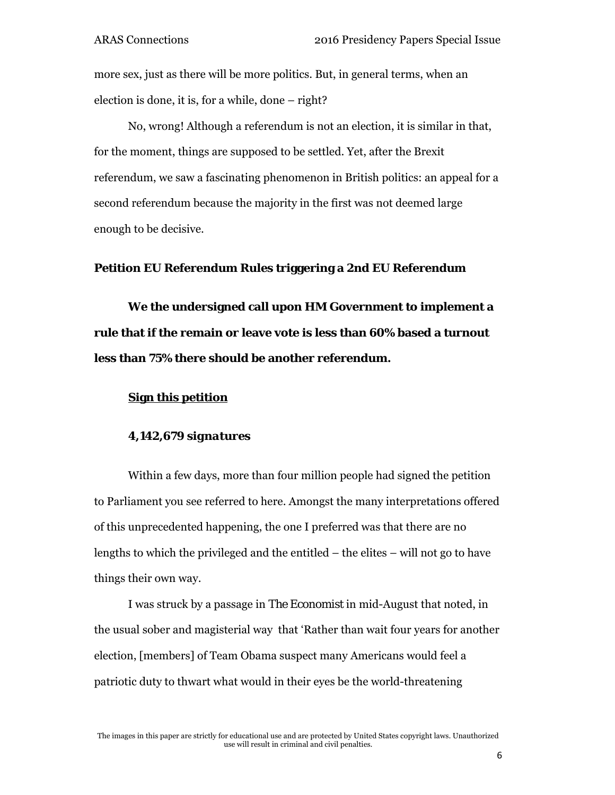more sex, just as there will be more politics. But, in general terms, when an election is done, it is, for a while, done – right?

No, wrong! Although a referendum is not an election, it is similar in that, for the moment, things are supposed to be settled. Yet, after the Brexit referendum, we saw a fascinating phenomenon in British politics: an appeal for a second referendum because the majority in the first was not deemed large enough to be decisive.

#### **Petition EU Referendum Rules triggering a 2nd EU Referendum**

**We the undersigned call upon HM Government to implement a rule that if the remain or leave vote is less than 60% based a turnout less than 75% there should be another referendum.** 

### **Sign this petition**

### *4,142,679 signatures*

Within a few days, more than four million people had signed the petition to Parliament you see referred to here. Amongst the many interpretations offered of this unprecedented happening, the one I preferred was that there are no lengths to which the privileged and the entitled – the elites – will not go to have things their own way.

I was struck by a passage in *The Economist* in mid-August that noted, in the usual sober and magisterial way that 'Rather than wait four years for another election, [members] of Team Obama suspect many Americans would feel a patriotic duty to thwart what would in their eyes be the world-threatening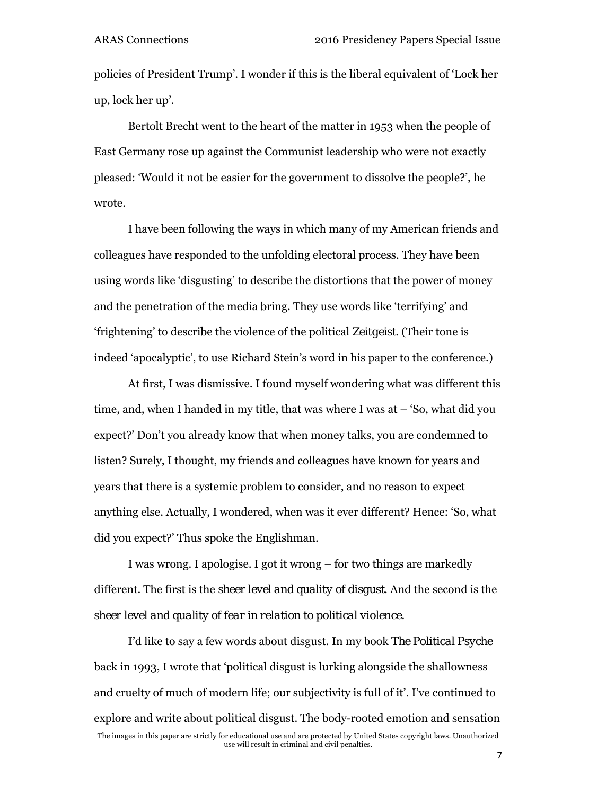policies of President Trump'. I wonder if this is the liberal equivalent of 'Lock her up, lock her up'.

Bertolt Brecht went to the heart of the matter in 1953 when the people of East Germany rose up against the Communist leadership who were not exactly pleased: 'Would it not be easier for the government to dissolve the people?', he wrote.

I have been following the ways in which many of my American friends and colleagues have responded to the unfolding electoral process. They have been using words like 'disgusting' to describe the distortions that the power of money and the penetration of the media bring. They use words like 'terrifying' and 'frightening' to describe the violence of the political *Zeitgeist*. (Their tone is indeed 'apocalyptic', to use Richard Stein's word in his paper to the conference.)

At first, I was dismissive. I found myself wondering what was different this time, and, when I handed in my title, that was where I was at – 'So, what did you expect?' Don't you already know that when money talks, you are condemned to listen? Surely, I thought, my friends and colleagues have known for years and years that there is a systemic problem to consider, and no reason to expect anything else. Actually, I wondered, when was it ever different? Hence: 'So, what did you expect?' Thus spoke the Englishman.

I was wrong. I apologise. I got it wrong – for two things are markedly different. The first is the *sheer level and quality of disgust*. And the second is the *sheer level and quality of fear in relation to political violence.*

The images in this paper are strictly for educational use and are protected by United States copyright laws. Unauthorized use will result in criminal and civil penalties. I'd like to say a few words about disgust. In my book *The Political Psyche* back in 1993, I wrote that 'political disgust is lurking alongside the shallowness and cruelty of much of modern life; our subjectivity is full of it'. I've continued to explore and write about political disgust. The body-rooted emotion and sensation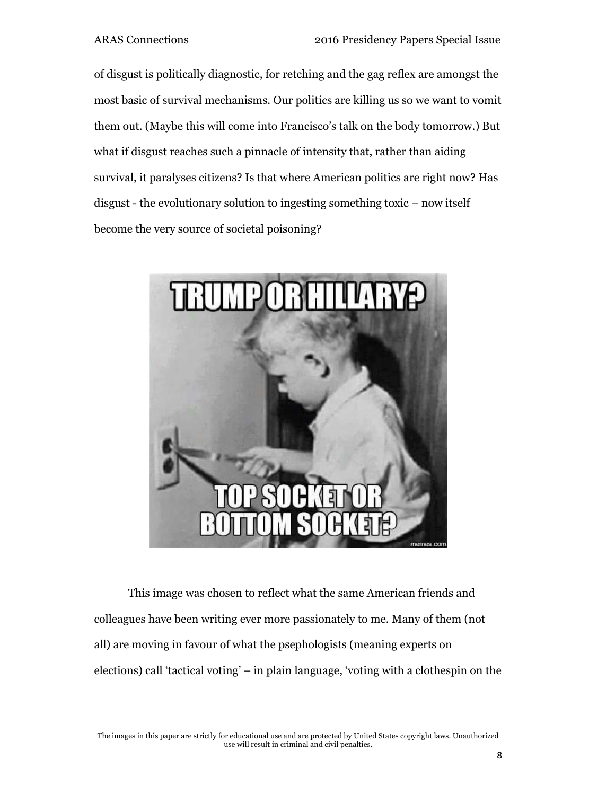of disgust is politically diagnostic, for retching and the gag reflex are amongst the most basic of survival mechanisms. Our politics are killing us so we want to vomit them out. (Maybe this will come into Francisco's talk on the body tomorrow.) But what if disgust reaches such a pinnacle of intensity that, rather than aiding survival, it paralyses citizens? Is that where American politics are right now? Has disgust - the evolutionary solution to ingesting something toxic – now itself become the very source of societal poisoning?



This image was chosen to reflect what the same American friends and colleagues have been writing ever more passionately to me. Many of them (not all) are moving in favour of what the psephologists (meaning experts on elections) call 'tactical voting' – in plain language, 'voting with a clothespin on the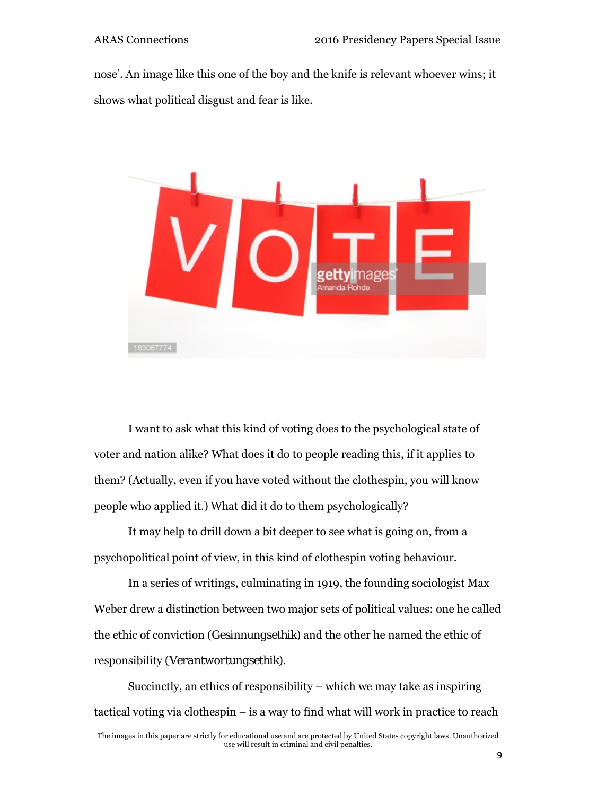nose'. An image like this one of the boy and the knife is relevant whoever wins; it shows what political disgust and fear is like.



I want to ask what this kind of voting does to the psychological state of voter and nation alike? What does it do to people reading this, if it applies to them? (Actually, even if you have voted without the clothespin, you will know people who applied it.) What did it do to them psychologically?

It may help to drill down a bit deeper to see what is going on, from a psychopolitical point of view, in this kind of clothespin voting behaviour.

In a series of writings, culminating in 1919, the founding sociologist Max Weber drew a distinction between two major sets of political values: one he called the ethic of conviction (*Gesinnungsethik*) and the other he named the ethic of responsibility (*Verantwortungsethik*).

The images in this paper are strictly for educational use and are protected by United States copyright laws. Unauthorized use will result in criminal and civil penalties. Succinctly, an ethics of responsibility – which we may take as inspiring tactical voting via clothespin – is a way to find what will work in practice to reach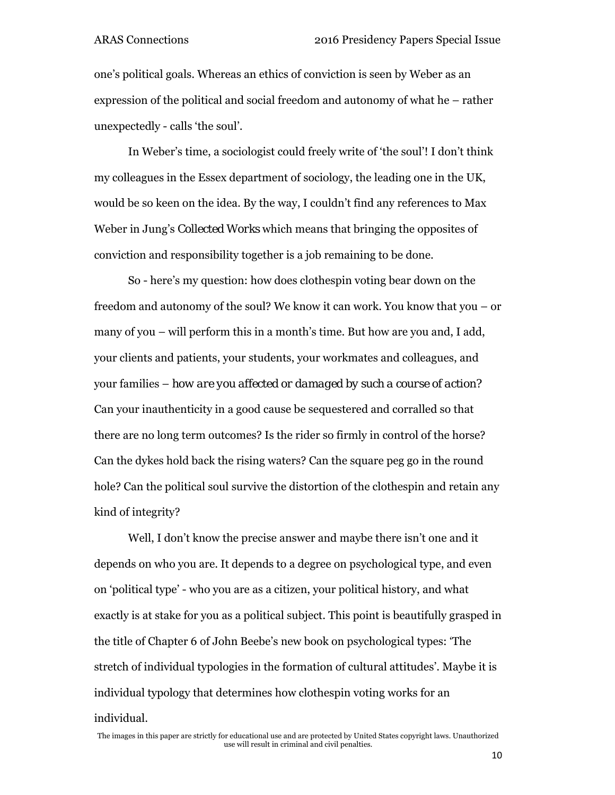one's political goals. Whereas an ethics of conviction is seen by Weber as an expression of the political and social freedom and autonomy of what he – rather unexpectedly - calls 'the soul'.

In Weber's time, a sociologist could freely write of 'the soul'! I don't think my colleagues in the Essex department of sociology, the leading one in the UK, would be so keen on the idea. By the way, I couldn't find any references to Max Weber in Jung's *Collected Works* which means that bringing the opposites of conviction and responsibility together is a job remaining to be done.

So - here's my question: how does clothespin voting bear down on the freedom and autonomy of the soul? We know it can work. You know that you – or many of you – will perform this in a month's time. But how are you and, I add, your clients and patients, your students, your workmates and colleagues, and your families – *how are you affected or damaged by such a course of action?* Can your inauthenticity in a good cause be sequestered and corralled so that there are no long term outcomes? Is the rider so firmly in control of the horse? Can the dykes hold back the rising waters? Can the square peg go in the round hole? Can the political soul survive the distortion of the clothespin and retain any kind of integrity?

Well, I don't know the precise answer and maybe there isn't one and it depends on who you are. It depends to a degree on psychological type, and even on 'political type' - who you are as a citizen, your political history, and what exactly is at stake for you as a political subject. This point is beautifully grasped in the title of Chapter 6 of John Beebe's new book on psychological types: 'The stretch of individual typologies in the formation of cultural attitudes'. Maybe it is individual typology that determines how clothespin voting works for an individual.

The images in this paper are strictly for educational use and are protected by United States copyright laws. Unauthorized use will result in criminal and civil penalties.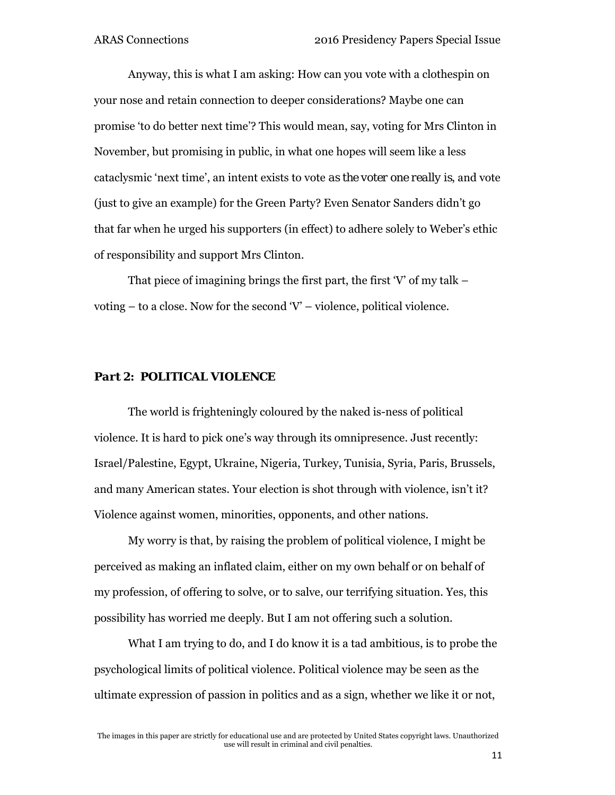Anyway, this is what I am asking: How can you vote with a clothespin on your nose and retain connection to deeper considerations? Maybe one can promise 'to do better next time'? This would mean, say, voting for Mrs Clinton in November, but promising in public, in what one hopes will seem like a less cataclysmic 'next time', an intent exists to vote *as the voter one really is*, and vote (just to give an example) for the Green Party? Even Senator Sanders didn't go that far when he urged his supporters (in effect) to adhere solely to Weber's ethic of responsibility and support Mrs Clinton.

That piece of imagining brings the first part, the first  $V$  of my talk – voting  $-$  to a close. Now for the second  $V'$  – violence, political violence.

#### *Part 2: POLITICAL VIOLENCE*

The world is frighteningly coloured by the naked is-ness of political violence. It is hard to pick one's way through its omnipresence. Just recently: Israel/Palestine, Egypt, Ukraine, Nigeria, Turkey, Tunisia, Syria, Paris, Brussels, and many American states. Your election is shot through with violence, isn't it? Violence against women, minorities, opponents, and other nations.

My worry is that, by raising the problem of political violence, I might be perceived as making an inflated claim, either on my own behalf or on behalf of my profession, of offering to solve, or to salve, our terrifying situation. Yes, this possibility has worried me deeply. But I am not offering such a solution.

What I am trying to do, and I do know it is a tad ambitious, is to probe the psychological limits of political violence. Political violence may be seen as the ultimate expression of passion in politics and as a sign, whether we like it or not,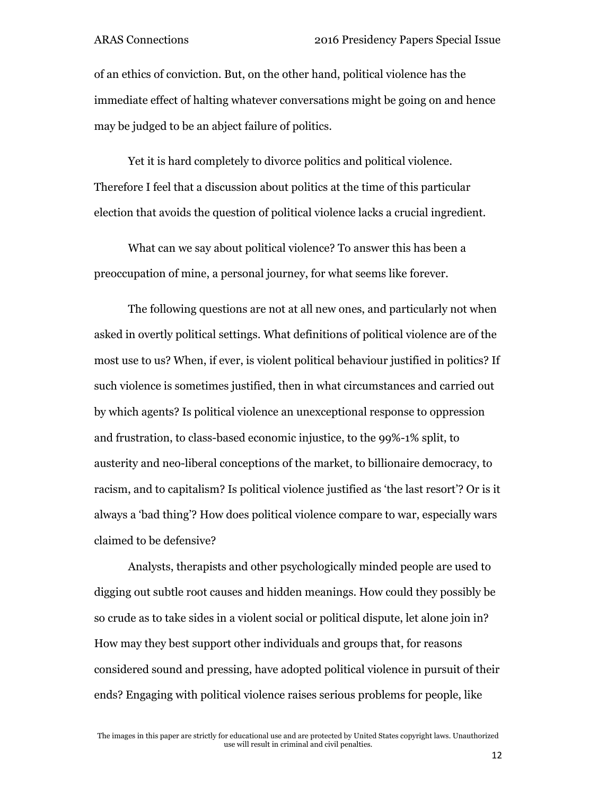of an ethics of conviction. But, on the other hand, political violence has the immediate effect of halting whatever conversations might be going on and hence may be judged to be an abject failure of politics.

Yet it is hard completely to divorce politics and political violence. Therefore I feel that a discussion about politics at the time of this particular election that avoids the question of political violence lacks a crucial ingredient.

What can we say about political violence? To answer this has been a preoccupation of mine, a personal journey, for what seems like forever.

The following questions are not at all new ones, and particularly not when asked in overtly political settings. What definitions of political violence are of the most use to us? When, if ever, is violent political behaviour justified in politics? If such violence is sometimes justified, then in what circumstances and carried out by which agents? Is political violence an unexceptional response to oppression and frustration, to class-based economic injustice, to the 99%-1% split, to austerity and neo-liberal conceptions of the market, to billionaire democracy, to racism, and to capitalism? Is political violence justified as 'the last resort'? Or is it always a 'bad thing'? How does political violence compare to war, especially wars claimed to be defensive?

Analysts, therapists and other psychologically minded people are used to digging out subtle root causes and hidden meanings. How could they possibly be so crude as to take sides in a violent social or political dispute, let alone join in? How may they best support other individuals and groups that, for reasons considered sound and pressing, have adopted political violence in pursuit of their ends? Engaging with political violence raises serious problems for people, like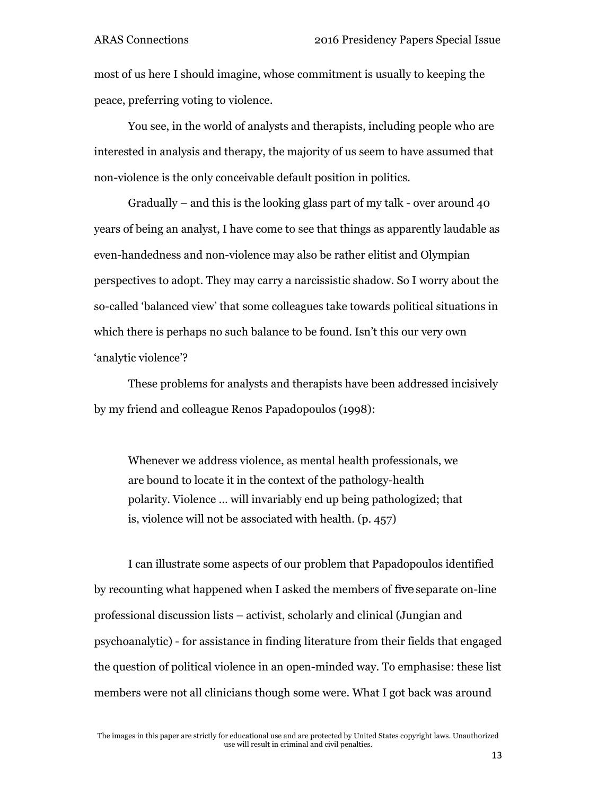most of us here I should imagine, whose commitment is usually to keeping the peace, preferring voting to violence.

You see, in the world of analysts and therapists, including people who are interested in analysis and therapy, the majority of us seem to have assumed that non-violence is the only conceivable default position in politics.

Gradually – and this is the looking glass part of my talk - over around 40 years of being an analyst, I have come to see that things as apparently laudable as even-handedness and non-violence may also be rather elitist and Olympian perspectives to adopt. They may carry a narcissistic shadow. So I worry about the so-called 'balanced view' that some colleagues take towards political situations in which there is perhaps no such balance to be found. Isn't this our very own 'analytic violence'?

These problems for analysts and therapists have been addressed incisively by my friend and colleague Renos Papadopoulos (1998):

Whenever we address violence, as mental health professionals, we are bound to locate it in the context of the pathology-health polarity. Violence … will invariably end up being pathologized; that is, violence will not be associated with health. (p. 457)

I can illustrate some aspects of our problem that Papadopoulos identified by recounting what happened when I asked the members of *five* separate on-line professional discussion lists – activist, scholarly and clinical (Jungian and psychoanalytic) - for assistance in finding literature from their fields that engaged the question of political violence in an open-minded way. To emphasise: these list members were not all clinicians though some were. What I got back was around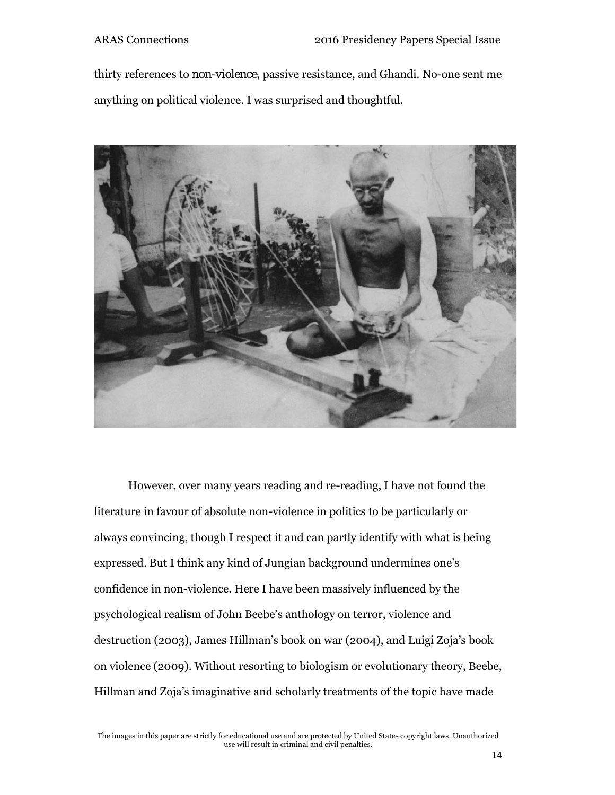thirty references to *non-violence*, passive resistance, and Ghandi. No-one sent me anything on political violence. I was surprised and thoughtful.



However, over many years reading and re-reading, I have not found the literature in favour of absolute non-violence in politics to be particularly or always convincing, though I respect it and can partly identify with what is being expressed. But I think any kind of Jungian background undermines one's confidence in non-violence. Here I have been massively influenced by the psychological realism of John Beebe's anthology on terror, violence and destruction (2003), James Hillman's book on war (2004), and Luigi Zoja's book on violence (2009). Without resorting to biologism or evolutionary theory, Beebe, Hillman and Zoja's imaginative and scholarly treatments of the topic have made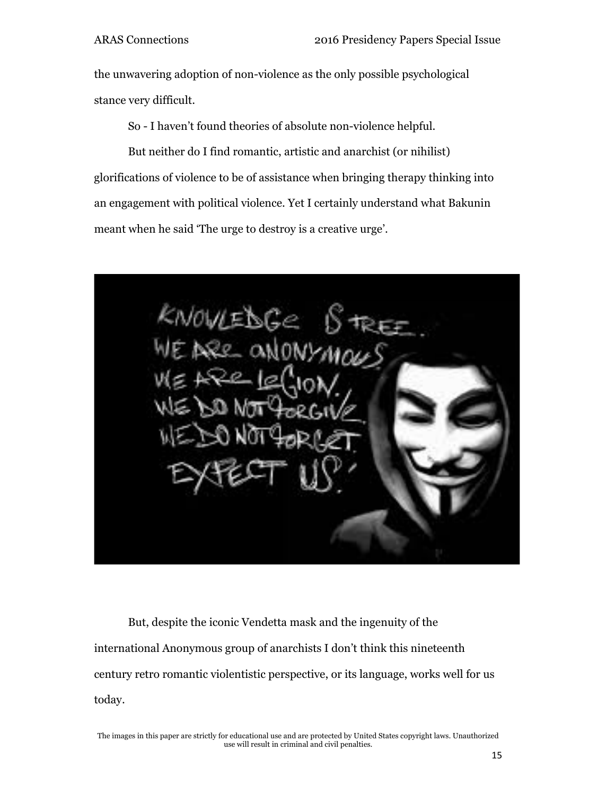the unwavering adoption of non-violence as the only possible psychological stance very difficult.

So - I haven't found theories of absolute non-violence helpful.

But neither do I find romantic, artistic and anarchist (or nihilist) glorifications of violence to be of assistance when bringing therapy thinking into an engagement with political violence. Yet I certainly understand what Bakunin meant when he said 'The urge to destroy is a creative urge'.



But, despite the iconic Vendetta mask and the ingenuity of the international Anonymous group of anarchists I don't think this nineteenth century retro romantic violentistic perspective, or its language, works well for us today.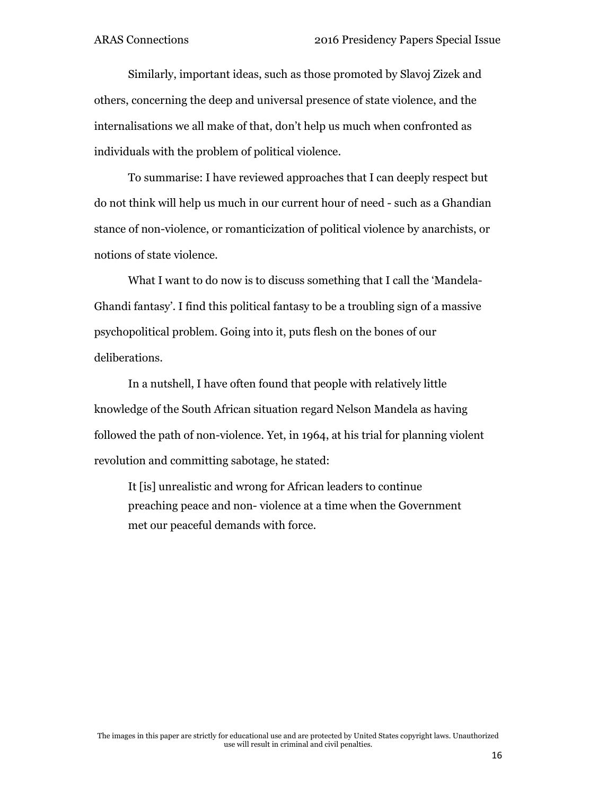Similarly, important ideas, such as those promoted by Slavoj Zizek and others, concerning the deep and universal presence of state violence, and the internalisations we all make of that, don't help us much when confronted as individuals with the problem of political violence.

To summarise: I have reviewed approaches that I can deeply respect but do not think will help us much in our current hour of need - such as a Ghandian stance of non-violence, or romanticization of political violence by anarchists, or notions of state violence.

What I want to do now is to discuss something that I call the 'Mandela-Ghandi fantasy'. I find this political fantasy to be a troubling sign of a massive psychopolitical problem. Going into it, puts flesh on the bones of our deliberations.

In a nutshell, I have often found that people with relatively little knowledge of the South African situation regard Nelson Mandela as having followed the path of non-violence. Yet, in 1964, at his trial for planning violent revolution and committing sabotage, he stated:

It [is] unrealistic and wrong for African leaders to continue preaching peace and non- violence at a time when the Government met our peaceful demands with force.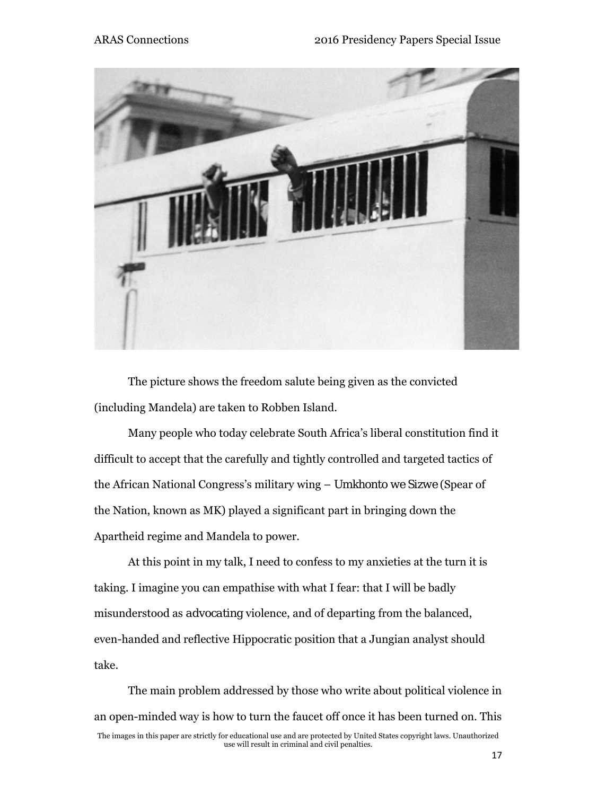

The picture shows the freedom salute being given as the convicted (including Mandela) are taken to Robben Island.

Many people who today celebrate South Africa's liberal constitution find it difficult to accept that the carefully and tightly controlled and targeted tactics of the African National Congress's military wing – *Umkhonto we Sizwe* (Spear of the Nation, known as MK) played a significant part in bringing down the Apartheid regime and Mandela to power.

At this point in my talk, I need to confess to my anxieties at the turn it is taking. I imagine you can empathise with what I fear: that I will be badly misunderstood as *advocating* violence, and of departing from the balanced, even-handed and reflective Hippocratic position that a Jungian analyst should take.

The images in this paper are strictly for educational use and are protected by United States copyright laws. Unauthorized use will result in criminal and civil penalties. The main problem addressed by those who write about political violence in an open-minded way is how to turn the faucet off once it has been turned on. This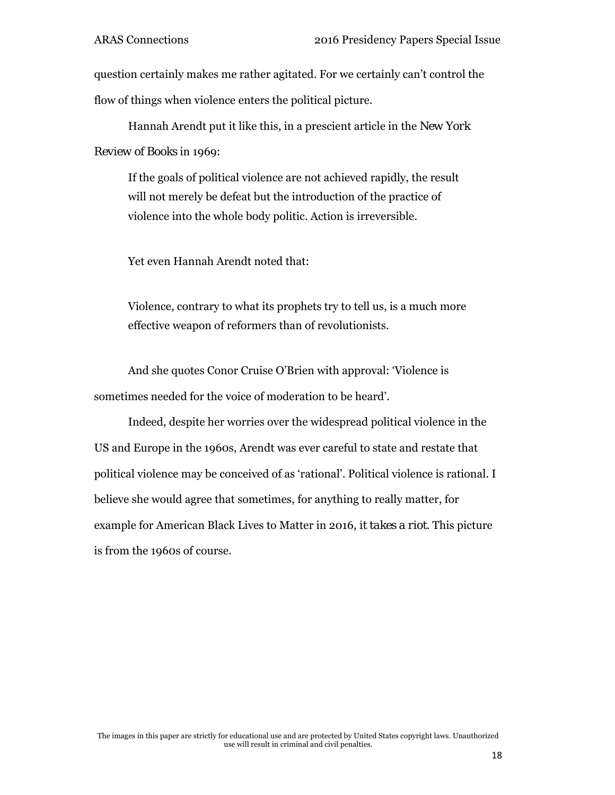question certainly makes me rather agitated. For we certainly can't control the flow of things when violence enters the political picture.

Hannah Arendt put it like this, in a prescient article in the *New York Review of Books* in 1969:

If the goals of political violence are not achieved rapidly, the result will not merely be defeat but the introduction of the practice of violence into the whole body politic. Action is irreversible.

Yet even Hannah Arendt noted that:

Violence, contrary to what its prophets try to tell us, is a much more effective weapon of reformers than of revolutionists.

And she quotes Conor Cruise O'Brien with approval: 'Violence is sometimes needed for the voice of moderation to be heard'.

Indeed, despite her worries over the widespread political violence in the US and Europe in the 1960s, Arendt was ever careful to state and restate that political violence may be conceived of as 'rational'. Political violence is rational. I believe she would agree that sometimes, for anything to really matter, for example for American Black Lives to Matter in 2016, *it takes a riot*. This picture is from the 1960s of course.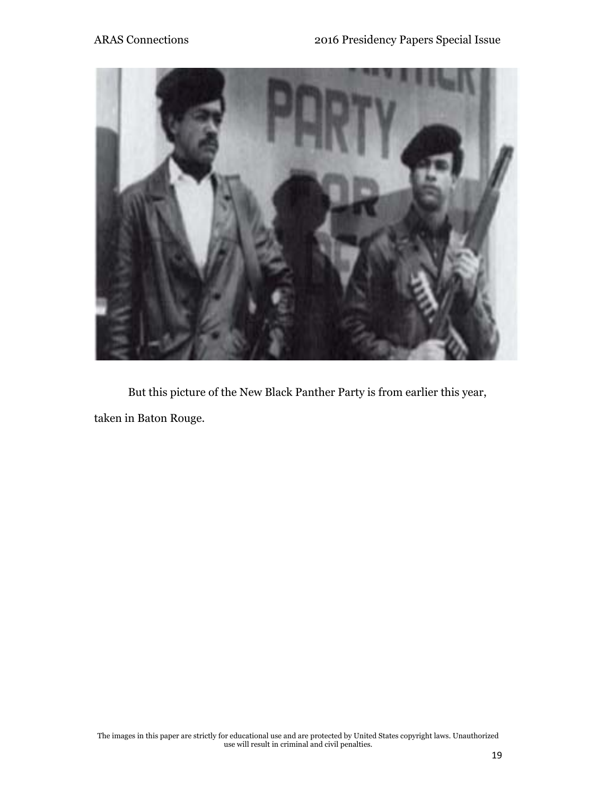

But this picture of the New Black Panther Party is from earlier this year, taken in Baton Rouge.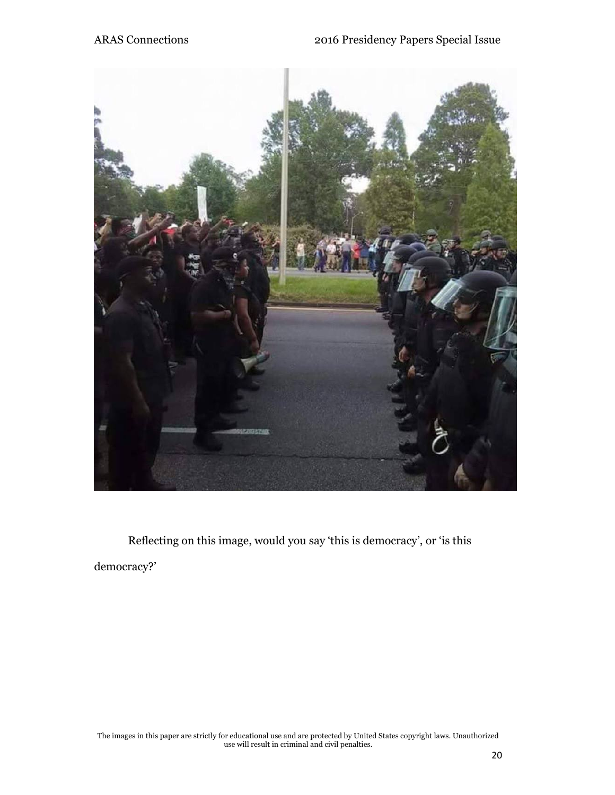

Reflecting on this image, would you say 'this is democracy', or 'is this democracy?'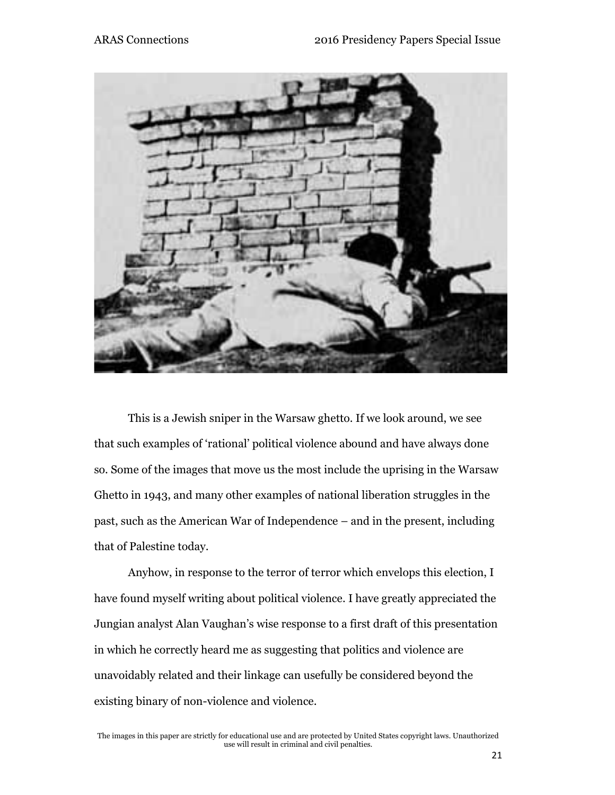

This is a Jewish sniper in the Warsaw ghetto. If we look around, we see that such examples of 'rational' political violence abound and have always done so. Some of the images that move us the most include the uprising in the Warsaw Ghetto in 1943, and many other examples of national liberation struggles in the past, such as the American War of Independence – and in the present, including that of Palestine today.

Anyhow, in response to the terror of terror which envelops this election, I have found myself writing about political violence. I have greatly appreciated the Jungian analyst Alan Vaughan's wise response to a first draft of this presentation in which he correctly heard me as suggesting that politics and violence are unavoidably related and their linkage can usefully be considered beyond the existing binary of non-violence and violence.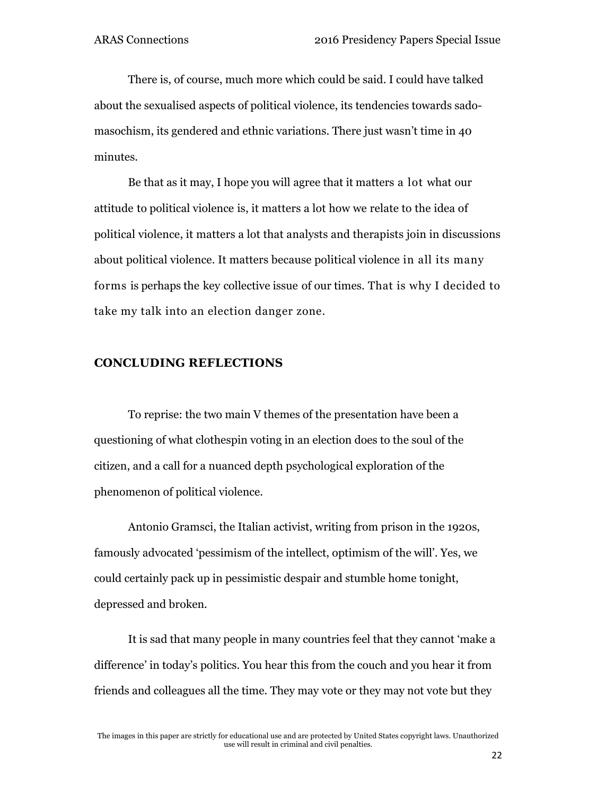There is, of course, much more which could be said. I could have talked about the sexualised aspects of political violence, its tendencies towards sadomasochism, its gendered and ethnic variations. There just wasn't time in 40 minutes.

Be that as it may, I hope you will agree that it matters a lot what our attitude to political violence is, it matters a lot how we relate to the idea of political violence, it matters a lot that analysts and therapists join in discussions about political violence. It matters because political violence in all its many forms is perhaps the key collective issue of our times. That is why I decided to take my talk into an election danger zone.

### **CONCLUDING REFLECTIONS**

To reprise: the two main V themes of the presentation have been a questioning of what clothespin voting in an election does to the soul of the citizen, and a call for a nuanced depth psychological exploration of the phenomenon of political violence.

Antonio Gramsci, the Italian activist, writing from prison in the 1920s, famously advocated 'pessimism of the intellect, optimism of the will'. Yes, we could certainly pack up in pessimistic despair and stumble home tonight, depressed and broken.

It is sad that many people in many countries feel that they cannot 'make a difference' in today's politics. You hear this from the couch and you hear it from friends and colleagues all the time. They may vote or they may not vote but they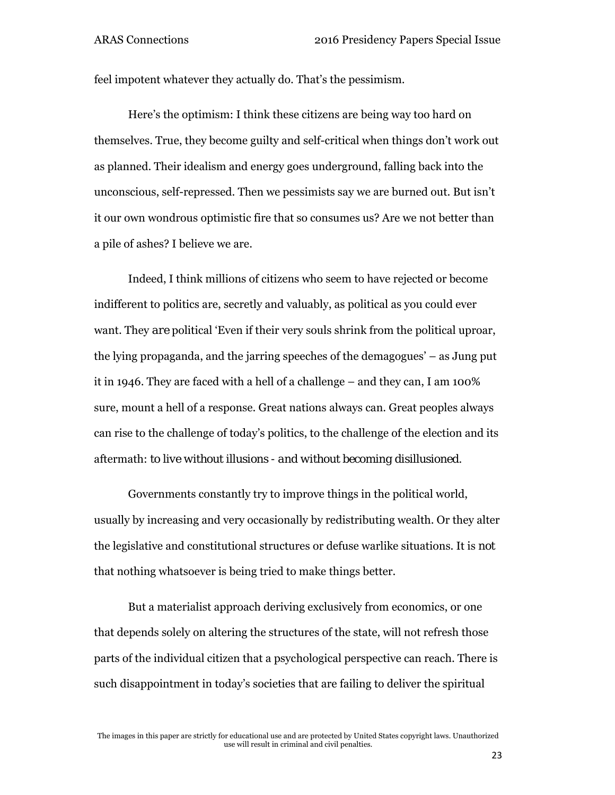feel impotent whatever they actually do. That's the pessimism.

Here's the optimism: I think these citizens are being way too hard on themselves. True, they become guilty and self-critical when things don't work out as planned. Their idealism and energy goes underground, falling back into the unconscious, self-repressed. Then we pessimists say we are burned out. But isn't it our own wondrous optimistic fire that so consumes us? Are we not better than a pile of ashes? I believe we are.

Indeed, I think millions of citizens who seem to have rejected or become indifferent to politics are, secretly and valuably, as political as you could ever want. They *are* political 'Even if their very souls shrink from the political uproar, the lying propaganda, and the jarring speeches of the demagogues' – as Jung put it in 1946. They are faced with a hell of a challenge – and they can, I am 100% sure, mount a hell of a response. Great nations always can. Great peoples always can rise to the challenge of today's politics, to the challenge of the election and its aftermath: *to live without illusions - and without becoming disillusioned.* 

Governments constantly try to improve things in the political world, usually by increasing and very occasionally by redistributing wealth. Or they alter the legislative and constitutional structures or defuse warlike situations. It is *not* that nothing whatsoever is being tried to make things better.

But a materialist approach deriving exclusively from economics, or one that depends solely on altering the structures of the state, will not refresh those parts of the individual citizen that a psychological perspective can reach. There is such disappointment in today's societies that are failing to deliver the spiritual